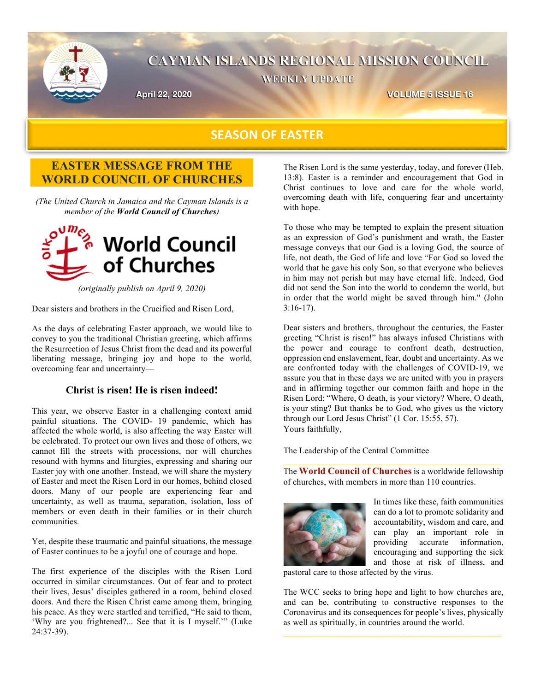

# **CAYMAN ISLANDS REGIONAL MISSION COUNCIL WEEKLY UPDATE**

**April 22, 2020 VOLUME 5 ISSUE 16**

## **SEASON OF EASTER**

## **EASTER MESSAGE FROM THE WORLD COUNCIL OF CHURCHES**

*(The United Church in Jamaica and the Cayman Islands is a member of the World Council of Churches)*



*(originally publish on April 9, 2020)*

Dear sisters and brothers in the Crucified and Risen Lord,

As the days of celebrating Easter approach, we would like to convey to you the traditional Christian greeting, which affirms the Resurrection of Jesus Christ from the dead and its powerful liberating message, bringing joy and hope to the world, overcoming fear and uncertainty—

#### **Christ is risen! He is risen indeed!**

This year, we observe Easter in a challenging context amid painful situations. The COVID- 19 pandemic, which has affected the whole world, is also affecting the way Easter will be celebrated. To protect our own lives and those of others, we cannot fill the streets with processions, nor will churches resound with hymns and liturgies, expressing and sharing our Easter joy with one another. Instead, we will share the mystery of Easter and meet the Risen Lord in our homes, behind closed doors. Many of our people are experiencing fear and uncertainty, as well as trauma, separation, isolation, loss of members or even death in their families or in their church communities.

Yet, despite these traumatic and painful situations, the message of Easter continues to be a joyful one of courage and hope.

The first experience of the disciples with the Risen Lord occurred in similar circumstances. Out of fear and to protect their lives, Jesus' disciples gathered in a room, behind closed doors. And there the Risen Christ came among them, bringing his peace. As they were startled and terrified, "He said to them, 'Why are you frightened?... See that it is I myself.'" (Luke 24:37-39).

The Risen Lord is the same yesterday, today, and forever (Heb. 13:8). Easter is a reminder and encouragement that God in Christ continues to love and care for the whole world, overcoming death with life, conquering fear and uncertainty with hope.

To those who may be tempted to explain the present situation as an expression of God's punishment and wrath, the Easter message conveys that our God is a loving God, the source of life, not death, the God of life and love "For God so loved the world that he gave his only Son, so that everyone who believes in him may not perish but may have eternal life. Indeed, God did not send the Son into the world to condemn the world, but in order that the world might be saved through him." (John 3:16-17).

Dear sisters and brothers, throughout the centuries, the Easter greeting "Christ is risen!" has always infused Christians with the power and courage to confront death, destruction, oppression end enslavement, fear, doubt and uncertainty. As we are confronted today with the challenges of COVID-19, we assure you that in these days we are united with you in prayers and in affirming together our common faith and hope in the Risen Lord: "Where, O death, is your victory? Where, O death, is your sting? But thanks be to God, who gives us the victory through our Lord Jesus Christ" (1 Cor. 15:55, 57). Yours faithfully,

The Leadership of the Central Committee

The **World Council of Churches** is a worldwide fellowship of churches, with members in more than 110 countries.



In times like these, faith communities can do a lot to promote solidarity and accountability, wisdom and care, and can play an important role in providing accurate information, encouraging and supporting the sick and those at risk of illness, and

pastoral care to those affected by the virus.

The WCC seeks to bring hope and light to how churches are, and can be, contributing to constructive responses to the Coronavirus and its consequences for people's lives, physically as well as spiritually, in countries around the world.